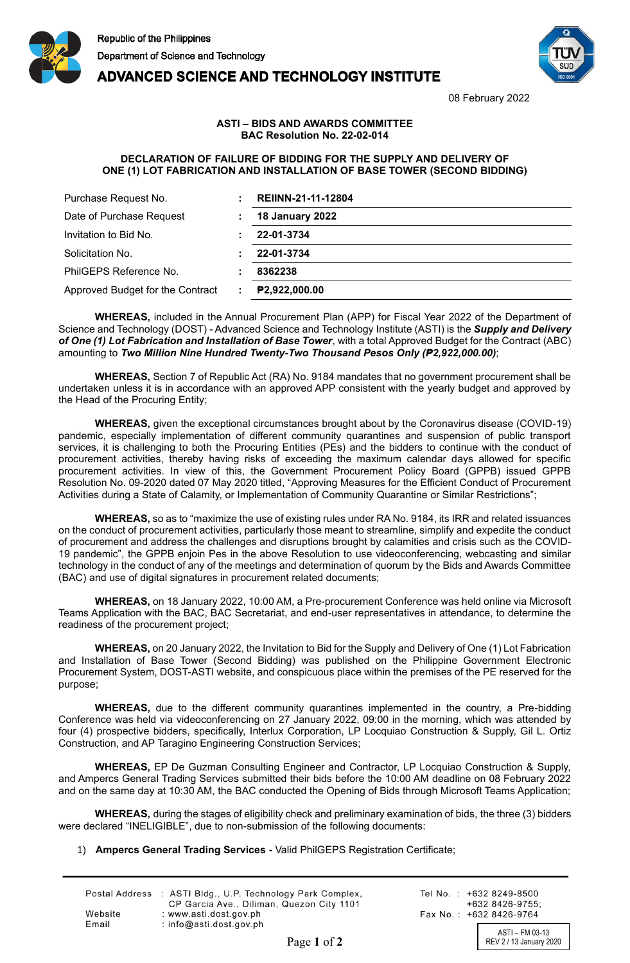

**ADVANCED SCIENCE AND TECHNOLOGY INSTITUTE** 



08 February 2022

## **ASTI – BIDS AND AWARDS COMMITTEE BAC Resolution No. 22-02-014**

## **DECLARATION OF FAILURE OF BIDDING FOR THE SUPPLY AND DELIVERY OF ONE (1) LOT FABRICATION AND INSTALLATION OF BASE TOWER (SECOND BIDDING)**

| Purchase Request No.             | <b>REIINN-21-11-12804</b> |
|----------------------------------|---------------------------|
| Date of Purchase Request         | <b>18 January 2022</b>    |
| Invitation to Bid No.            | 22-01-3734                |
| Solicitation No.                 | 22-01-3734                |
| PhilGEPS Reference No.           | 8362238                   |
| Approved Budget for the Contract | ₱2,922,000.00             |

**WHEREAS,** included in the Annual Procurement Plan (APP) for Fiscal Year 2022 of the Department of Science and Technology (DOST) - Advanced Science and Technology Institute (ASTI) is the *Supply and Delivery of One (1) Lot Fabrication and Installation of Base Tower*, with a total Approved Budget for the Contract (ABC) amounting to *Two Million Nine Hundred Twenty-Two Thousand Pesos Only (₱2,922,000.00)*;

**WHEREAS,** Section 7 of Republic Act (RA) No. 9184 mandates that no government procurement shall be undertaken unless it is in accordance with an approved APP consistent with the yearly budget and approved by the Head of the Procuring Entity;

**WHEREAS,** given the exceptional circumstances brought about by the Coronavirus disease (COVID-19) pandemic, especially implementation of different community quarantines and suspension of public transport services, it is challenging to both the Procuring Entities (PEs) and the bidders to continue with the conduct of procurement activities, thereby having risks of exceeding the maximum calendar days allowed for specific procurement activities. In view of this, the Government Procurement Policy Board (GPPB) issued GPPB Resolution No. 09-2020 dated 07 May 2020 titled, "Approving Measures for the Efficient Conduct of Procurement Activities during a State of Calamity, or Implementation of Community Quarantine or Similar Restrictions";

**WHEREAS,** so as to "maximize the use of existing rules under RA No. 9184, its IRR and related issuances on the conduct of procurement activities, particularly those meant to streamline, simplify and expedite the conduct of procurement and address the challenges and disruptions brought by calamities and crisis such as the COVID-19 pandemic", the GPPB enjoin Pes in the above Resolution to use videoconferencing, webcasting and similar technology in the conduct of any of the meetings and determination of quorum by the Bids and Awards Committee (BAC) and use of digital signatures in procurement related documents;

**WHEREAS,** on 18 January 2022, 10:00 AM, a Pre-procurement Conference was held online via Microsoft Teams Application with the BAC, BAC Secretariat, and end-user representatives in attendance, to determine the readiness of the procurement project;

**WHEREAS,** on 20 January 2022, the Invitation to Bid for the Supply and Delivery of One (1) Lot Fabrication and Installation of Base Tower (Second Bidding) was published on the Philippine Government Electronic Procurement System, DOST-ASTI website, and conspicuous place within the premises of the PE reserved for the purpose;

**WHEREAS,** due to the different community quarantines implemented in the country, a Pre-bidding Conference was held via videoconferencing on 27 January 2022, 09:00 in the morning, which was attended by four (4) prospective bidders, specifically, Interlux Corporation, LP Locquiao Construction & Supply, Gil L. Ortiz Construction, and AP Taragino Engineering Construction Services;

**WHEREAS,** EP De Guzman Consulting Engineer and Contractor, LP Locquiao Construction & Supply, and Ampercs General Trading Services submitted their bids before the 10:00 AM deadline on 08 February 2022 and on the same day at 10:30 AM, the BAC conducted the Opening of Bids through Microsoft Teams Application;

**WHEREAS,** during the stages of eligibility check and preliminary examination of bids, the three (3) bidders were declared "INELIGIBLE", due to non-submission of the following documents:

## 1) **Ampercs General Trading Services -** Valid PhilGEPS Registration Certificate;

|         | Postal Address : ASTI Bldg., U.P. Technology Park Complex,<br>CP Garcia Ave., Diliman, Quezon City 1101 |
|---------|---------------------------------------------------------------------------------------------------------|
| Website | : www.asti.dost.gov.ph                                                                                  |
| Email   | : info@asti.dost.gov.ph                                                                                 |

Tel No.: +632 8249-8500 +632 8426-9755: Fax No.: +632 8426-9764

ASTI – FM 03-13 Page 1 of 2 REV 2 / 13 January 2020